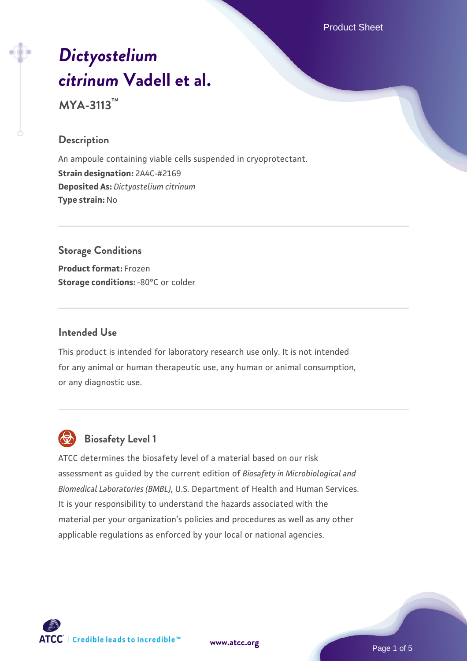Product Sheet

# *[Dictyostelium](https://www.atcc.org/products/mya-3113) [citrinum](https://www.atcc.org/products/mya-3113)* **[Vadell et al.](https://www.atcc.org/products/mya-3113)**

**MYA-3113™**

# **Description**

An ampoule containing viable cells suspended in cryoprotectant. **Strain designation:** 2A4C-#2169 **Deposited As:** *Dictyostelium citrinum* **Type strain:** No

# **Storage Conditions Product format:** Frozen

**Storage conditions: -80°C or colder** 

## **Intended Use**

This product is intended for laboratory research use only. It is not intended for any animal or human therapeutic use, any human or animal consumption, or any diagnostic use.



# **Biosafety Level 1**

ATCC determines the biosafety level of a material based on our risk assessment as guided by the current edition of *Biosafety in Microbiological and Biomedical Laboratories (BMBL)*, U.S. Department of Health and Human Services. It is your responsibility to understand the hazards associated with the material per your organization's policies and procedures as well as any other applicable regulations as enforced by your local or national agencies.



**[www.atcc.org](http://www.atcc.org)**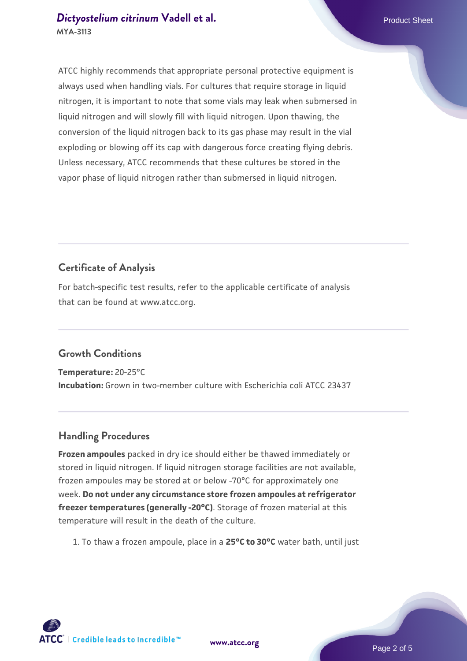# **[Dictyostelium citrinum](https://www.atcc.org/products/mya-3113) [Vadell et al.](https://www.atcc.org/products/mya-3113)** Product Sheet **MYA-3113**

ATCC highly recommends that appropriate personal protective equipment is always used when handling vials. For cultures that require storage in liquid nitrogen, it is important to note that some vials may leak when submersed in liquid nitrogen and will slowly fill with liquid nitrogen. Upon thawing, the conversion of the liquid nitrogen back to its gas phase may result in the vial exploding or blowing off its cap with dangerous force creating flying debris. Unless necessary, ATCC recommends that these cultures be stored in the vapor phase of liquid nitrogen rather than submersed in liquid nitrogen.

# **Certificate of Analysis**

For batch-specific test results, refer to the applicable certificate of analysis that can be found at www.atcc.org.

# **Growth Conditions**

**Temperature:** 20-25°C **Incubation:** Grown in two-member culture with Escherichia coli ATCC 23437

# **Handling Procedures**

**Frozen ampoules** packed in dry ice should either be thawed immediately or stored in liquid nitrogen. If liquid nitrogen storage facilities are not available, frozen ampoules may be stored at or below -70°C for approximately one week. **Do not under any circumstance store frozen ampoules at refrigerator freezer temperatures (generally -20°C)**. Storage of frozen material at this temperature will result in the death of the culture.

1. To thaw a frozen ampoule, place in a **25°C to 30°C** water bath, until just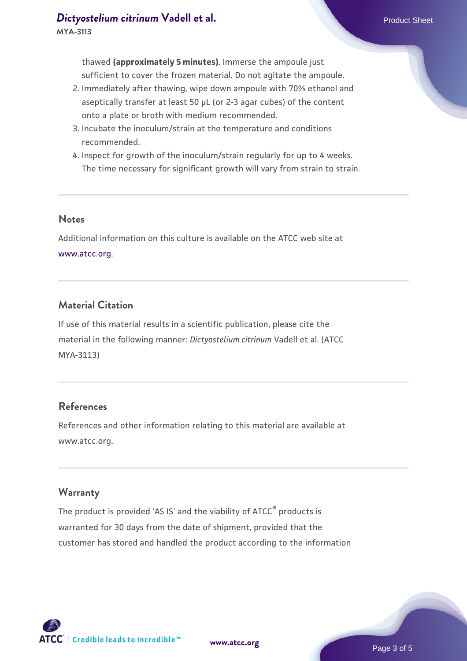thawed **(approximately 5 minutes)**. Immerse the ampoule just sufficient to cover the frozen material. Do not agitate the ampoule.

- 2. Immediately after thawing, wipe down ampoule with 70% ethanol and aseptically transfer at least 50 µL (or 2-3 agar cubes) of the content onto a plate or broth with medium recommended.
- 3. Incubate the inoculum/strain at the temperature and conditions recommended.
- 4. Inspect for growth of the inoculum/strain regularly for up to 4 weeks. The time necessary for significant growth will vary from strain to strain.

#### **Notes**

Additional information on this culture is available on the ATCC web site at [www.atcc.org.](http://www.atcc.org/)

## **Material Citation**

If use of this material results in a scientific publication, please cite the material in the following manner: *Dictyostelium citrinum* Vadell et al. (ATCC MYA-3113)

#### **References**

References and other information relating to this material are available at www.atcc.org.

#### **Warranty**

The product is provided 'AS IS' and the viability of ATCC® products is warranted for 30 days from the date of shipment, provided that the customer has stored and handled the product according to the information

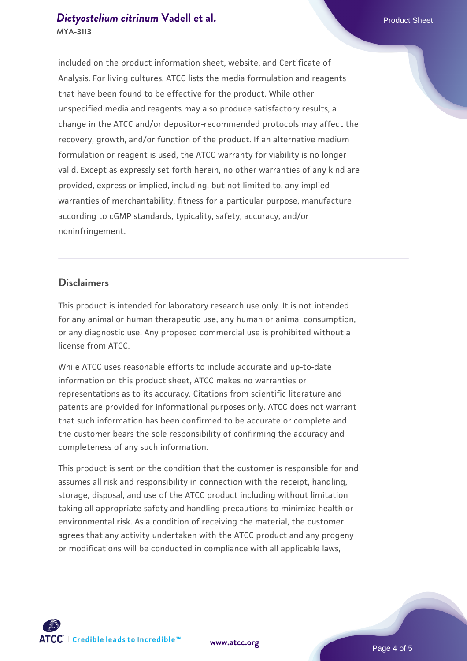## **[Dictyostelium citrinum](https://www.atcc.org/products/mya-3113) [Vadell et al.](https://www.atcc.org/products/mya-3113)** Product Sheet **MYA-3113**

included on the product information sheet, website, and Certificate of Analysis. For living cultures, ATCC lists the media formulation and reagents that have been found to be effective for the product. While other unspecified media and reagents may also produce satisfactory results, a change in the ATCC and/or depositor-recommended protocols may affect the recovery, growth, and/or function of the product. If an alternative medium formulation or reagent is used, the ATCC warranty for viability is no longer valid. Except as expressly set forth herein, no other warranties of any kind are provided, express or implied, including, but not limited to, any implied warranties of merchantability, fitness for a particular purpose, manufacture according to cGMP standards, typicality, safety, accuracy, and/or noninfringement.

#### **Disclaimers**

This product is intended for laboratory research use only. It is not intended for any animal or human therapeutic use, any human or animal consumption, or any diagnostic use. Any proposed commercial use is prohibited without a license from ATCC.

While ATCC uses reasonable efforts to include accurate and up-to-date information on this product sheet, ATCC makes no warranties or representations as to its accuracy. Citations from scientific literature and patents are provided for informational purposes only. ATCC does not warrant that such information has been confirmed to be accurate or complete and the customer bears the sole responsibility of confirming the accuracy and completeness of any such information.

This product is sent on the condition that the customer is responsible for and assumes all risk and responsibility in connection with the receipt, handling, storage, disposal, and use of the ATCC product including without limitation taking all appropriate safety and handling precautions to minimize health or environmental risk. As a condition of receiving the material, the customer agrees that any activity undertaken with the ATCC product and any progeny or modifications will be conducted in compliance with all applicable laws,



**[www.atcc.org](http://www.atcc.org)**

Page 4 of 5